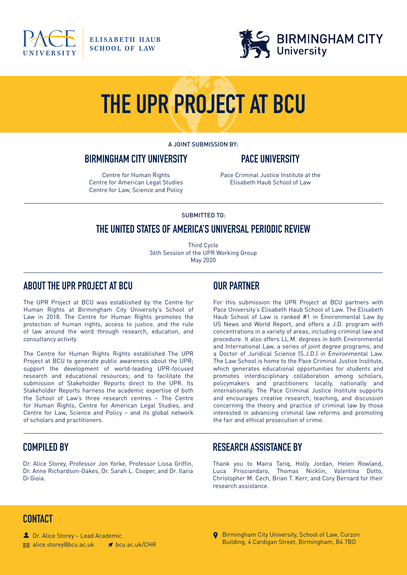

**ELISABETH HAUB SCHOOL OF LAW** 



# **THE UPR PROJECT AT BCU**

A JOINT SUBMISSION BY:

#### **BIRMINGHAM CITY UNIVERSITY**

#### **PACE UNIVERSITY**

Centre for Human Rights Centre for American Legal Studies Centre for Law, Science and Policy Pace Criminal Justice Institute at the Elisabeth Haub School of Law

#### SUBMITTED TO:

#### **THE UNITED STATES OF AMERICA'S UNIVERSAL PERIODIC REVIEW**

Third Cycle 36th Session of the UPR Working Group May 2020

#### **ABOUT THE UPR PROJECT AT BCU**

The UPR Project at BCU was established by the Centre for Human Rights at Birmingham City University's School of Law in 2018. The Centre for Human Rights promotes the protection of human rights, access to justice, and the rule of law around the word through research, education, and consultancy activity.

The Centre for Human Rights Rights established The UPR Project at BCU to generate public awareness about the UPR; support the development of world-leading UPR-focused research and educational resources; and to facilitate the submission of Stakeholder Reports direct to the UPR. Its Stakeholder Reports harness the academic expertise of both the School of Law's three research centres – The Centre for Human Rights, Centre for American Legal Studies, and Centre for Law, Science and Policy – and its global network of scholars and practitioners.

# **OUR PARTNER**

For this submission the UPR Project at BCU partners with Pace University's Elisabeth Haub School of Law. The Elisabeth Haub School of Law is ranked #1 in Environmental Law by US News and World Report, and offers a J.D. program with concentrations in a variety of areas, including criminal law and procedure. It also offers LL.M. degrees in both Environmental and International Law, a series of joint degree programs, and a Doctor of Juridical Science (S.J.D.) in Environmental Law. The Law School is home to the Pace Criminal Justice Institute, which generates educational opportunities for students and promotes interdisciplinary collaboration among scholars, policymakers and practitioners locally, nationally and internationally. The Pace Criminal Justice Institute supports and encourages creative research, teaching, and discussion concerning the theory and practice of criminal law by those interested in advancing criminal law reforms and promoting the fair and ethical prosecution of crime.

## **COMPILED BY**

Dr. Alice Storey, Professor Jon Yorke, Professor Lissa Griffin, Dr. Anne Richardson-Oakes, Dr. Sarah L. Cooper, and Dr. Ilaria Di Gioia.

## **RESEARCH ASSISTANCE BY**

Thank you to Maira Tariq, Holly Jordan, Helen Rowland, Luca Prisciandaro, Thomas Nicklin, Valentina Dotto, Christopher M. Cech, Brian T. Kerr, and Cory Bernard for their research assistance.

## **CONTACT**

Dr. Alice Storey – Lead Academic  $\boxtimes$  alice.storey@bcu.ac.uk <br>
<br> **<br>
■** bcu.ac.uk/CHR **Q** Birmingham City University, School of Law, Curzon Building, 4 Cardigan Street, Birmingham, B4 7BD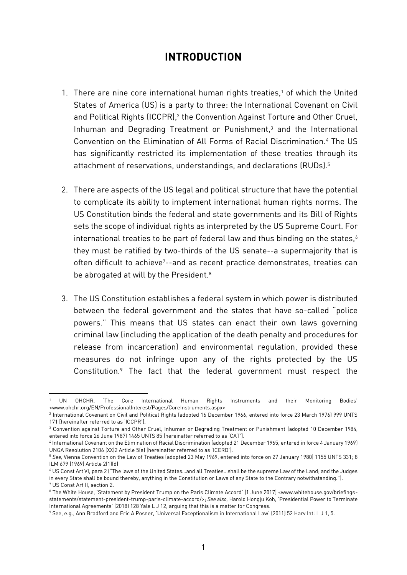## **INTRODUCTION**

- 1. There are nine core international human rights treaties,<sup>1</sup> of which the United States of America (US) is a party to three: the International Covenant on Civil and Political Rights (ICCPR),<sup>2</sup> the Convention Against Torture and Other Cruel, Inhuman and Degrading Treatment or Punishment,<sup>3</sup> and the International Convention on the Elimination of All Forms of Racial Discrimination.<sup>4</sup> The US has significantly restricted its implementation of these treaties through its attachment of reservations, understandings, and declarations (RUDs). 5
- 2. There are aspects of the US legal and political structure that have the potential to complicate its ability to implement international human rights norms. The US Constitution binds the federal and state governments and its Bill of Rights sets the scope of individual rights as interpreted by the US Supreme Court. For international treaties to be part of federal law and thus binding on the states,<sup>6</sup> they must be ratified by two-thirds of the US senate--a supermajority that is often difficult to achieve7--and as recent practice demonstrates, treaties can be abrogated at will by the President.<sup>8</sup>
- 3. The US Constitution establishes a federal system in which power is distributed between the federal government and the states that have so-called "police powers." This means that US states can enact their own laws governing criminal law (including the application of the death penalty and procedures for release from incarceration) and environmental regulation, provided these measures do not infringe upon any of the rights protected by the US Constitution.<sup>9</sup> The fact that the federal government must respect the

<sup>1</sup> UN OHCHR, 'The Core International Human Rights Instruments and their Monitoring Bodies' <www.ohchr.org/EN/ProfessionalInterest/Pages/CoreInstruments.aspx>

<sup>2</sup> International Covenant on Civil and Political Rights (adopted 16 December 1966, entered into force 23 March 1976) 999 UNTS 171 [hereinafter referred to as 'ICCPR'].

<sup>3</sup> Convention against Torture and Other Cruel, Inhuman or Degrading Treatment or Punishment (adopted 10 December 1984, entered into force 26 June 1987) 1465 UNTS 85 [hereinafter referred to as 'CAT'].

<sup>4</sup> International Covenant on the Elimination of Racial Discrimination (adopted 21 December 1965, entered in force 4 January 1969) UNGA Resolution 2106 (XX)2 Article 5(a) [hereinafter referred to as 'ICERD'].

<sup>5</sup> *See,* Vienna Convention on the Law of Treaties (adopted 23 May 1969, entered into force on 27 January 1980) 1155 UNTS 331; 8 ILM 679 (1969) Article 2(1)(d)

<sup>6</sup> US Const Art VI, para 2 ("The laws of the United States…and all Treaties…shall be the supreme Law of the Land; and the Judges in every State shall be bound thereby, anything in the Constitution or Laws of any State to the Contrary notwithstanding."). <sup>7</sup> US Const Art II, section 2.

<sup>8</sup> The White House, 'Statement by President Trump on the Paris Climate Accord' (1 June 2017) <www.whitehouse.gov/briefingsstatements/statement-president-trump-paris-climate-accord/>; *See also,* Harold Hongju Koh, 'Presidential Power to Terminate International Agreements' (2018) 128 Yale L J 12, arguing that this is a matter for Congress.

<sup>9</sup> See, e.g., Ann Bradford and Eric A Posner, 'Universal Exceptionalism in International Law' (2011) 52 Harv Intl L J 1, 5.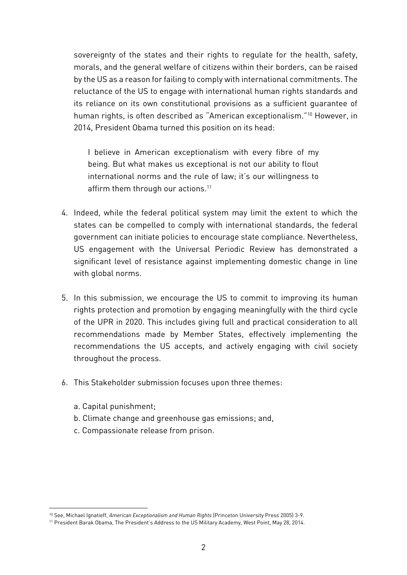sovereignty of the states and their rights to regulate for the health, safety, morals, and the general welfare of citizens within their borders, can be raised by the US as a reason for failing to comply with international commitments. The reluctance of the US to engage with international human rights standards and its reliance on its own constitutional provisions as a sufficient guarantee of human rights, is often described as "American exceptionalism." <sup>10</sup> However, in 2014, President Obama turned this position on its head:

I believe in American exceptionalism with every fibre of my being. But what makes us exceptional is not our ability to flout international norms and the rule of law; it's our willingness to affirm them through our actions. 11

- 4. Indeed, while the federal political system may limit the extent to which the states can be compelled to comply with international standards, the federal government can initiate policies to encourage state compliance. Nevertheless, US engagement with the Universal Periodic Review has demonstrated a significant level of resistance against implementing domestic change in line with global norms.
- 5. In this submission, we encourage the US to commit to improving its human rights protection and promotion by engaging meaningfully with the third cycle of the UPR in 2020. This includes giving full and practical consideration to all recommendations made by Member States, effectively implementing the recommendations the US accepts, and actively engaging with civil society throughout the process.
- 6. This Stakeholder submission focuses upon three themes:
	- a. Capital punishment;

- b. Climate change and greenhouse gas emissions; and,
- c. Compassionate release from prison.

<sup>10</sup> See, Michael Ignatieff, *American Exceptionalism and Human Rights* (Princeton University Press 2005) 3-9.

<sup>11</sup> President Barak Obama, The President's Address to the US Military Academy, West Point, May 28, 2014.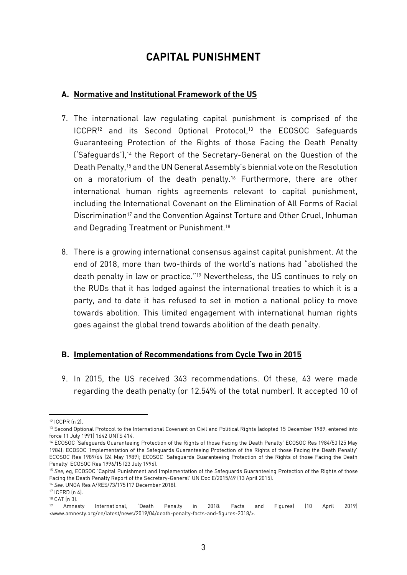# **CAPITAL PUNISHMENT**

#### **A. Normative and Institutional Framework of the US**

- 7. The international law regulating capital punishment is comprised of the ICCPR<sup>12</sup> and its Second Optional Protocol,<sup>13</sup> the ECOSOC Safeguards Guaranteeing Protection of the Rights of those Facing the Death Penalty ('Safeguards'),<sup>14</sup> the Report of the Secretary-General on the Question of the Death Penalty,<sup>15</sup> and the UN General Assembly's biennial vote on the Resolution on a moratorium of the death penalty.<sup>16</sup> Furthermore, there are other international human rights agreements relevant to capital punishment, including the International Covenant on the Elimination of All Forms of Racial Discrimination<sup>17</sup> and the Convention Against Torture and Other Cruel, Inhuman and Degrading Treatment or Punishment.<sup>18</sup>
- 8. There is a growing international consensus against capital punishment. At the end of 2018, more than two-thirds of the world's nations had "abolished the death penalty in law or practice."<sup>19</sup> Nevertheless, the US continues to rely on the RUDs that it has lodged against the international treaties to which it is a party, and to date it has refused to set in motion a national policy to move towards abolition. This limited engagement with international human rights goes against the global trend towards abolition of the death penalty.

#### **B. Implementation of Recommendations from Cycle Two in 2015**

9. In 2015, the US received 343 recommendations. Of these, 43 were made regarding the death penalty (or 12.54% of the total number). It accepted 10 of

**.** 

<sup>12</sup> ICCPR (n 2).

<sup>13</sup> Second Optional Protocol to the International Covenant on Civil and Political Rights (adopted 15 December 1989, entered into force 11 July 1991) 1642 UNTS 414.

<sup>14</sup> ECOSOC 'Safeguards Guaranteeing Protection of the Rights of those Facing the Death Penalty' ECOSOC Res 1984/50 (25 May 1984); ECOSOC 'Implementation of the Safeguards Guaranteeing Protection of the Rights of those Facing the Death Penalty' ECOSOC Res 1989/64 (24 May 1989); ECOSOC 'Safeguards Guaranteeing Protection of the Rights of those Facing the Death Penalty' ECOSOC Res 1996/15 (23 July 1996).

<sup>15</sup> *See,* eg, ECOSOC 'Capital Punishment and Implementation of the Safeguards Guaranteeing Protection of the Rights of those Facing the Death Penalty Report of the Secretary-General' UN Doc E/2015/49 (13 April 2015).

<sup>16</sup> *See,* UNGA Res A/RES/73/175 (17 December 2018).

<sup>17</sup> ICERD (n 4).

<sup>18</sup> CAT (n 3).

<sup>19</sup> Amnesty International, 'Death Penalty in 2018: Facts and Figures) (10 April 2019) <www.amnesty.org/en/latest/news/2019/04/death-penalty-facts-and-figures-2018/>.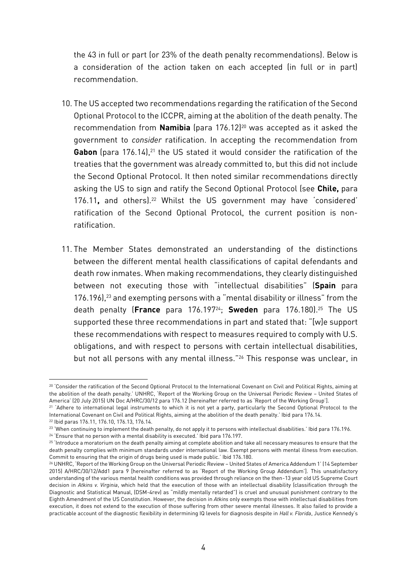the 43 in full or part (or 23% of the death penalty recommendations). Below is a consideration of the action taken on each accepted (in full or in part) recommendation.

- 10. The US accepted two recommendations regarding the ratification of the Second Optional Protocol to the ICCPR, aiming at the abolition of the death penalty. The recommendation from **Namibia** (para 176.12) <sup>20</sup> was accepted as it asked the government to *consider* ratification. In accepting the recommendation from Gabon (para 176.14),<sup>21</sup> the US stated it would consider the ratification of the treaties that the government was already committed to, but this did not include the Second Optional Protocol. It then noted similar recommendations directly asking the US to sign and ratify the Second Optional Protocol (see **Chile,** para 176.11, and others).<sup>22</sup> Whilst the US government may have 'considered' ratification of the Second Optional Protocol, the current position is nonratification.
- 11. The Member States demonstrated an understanding of the distinctions between the different mental health classifications of capital defendants and death row inmates. When making recommendations, they clearly distinguished between not executing those with "intellectual disabilities" (**Spain** para 176.196), <sup>23</sup> and exempting persons with a "mental disability or illness" from the death penalty (**France** para 176.19724; **Sweden** para 176.180). <sup>25</sup> The US supported these three recommendations in part and stated that: "[w]e support these recommendations with respect to measures required to comply with U.S. obligations, and with respect to persons with certain intellectual disabilities, but not all persons with any mental illness." <sup>26</sup> This response was unclear, in

<sup>&</sup>lt;sup>20</sup> 'Consider the ratification of the Second Optional Protocol to the International Covenant on Civil and Political Rights, aiming at the abolition of the death penalty.' UNHRC, 'Report of the Working Group on the Universal Periodic Review – United States of America' (20 July 2015) UN Doc A/HRC/30/12 para 176.12 [hereinafter referred to as 'Report of the Working Group'].

<sup>&</sup>lt;sup>21</sup> 'Adhere to international legal instruments to which it is not yet a party, particularly the Second Optional Protocol to the International Covenant on Civil and Political Rights, aiming at the abolition of the death penalty.' Ibid para 176.14.

<sup>22</sup> Ibid paras 176.11, 176.10, 176.13, 176.14.

<sup>&</sup>lt;sup>23</sup> 'When continuing to implement the death penalty, do not apply it to persons with intellectual disabilities.' Ibid para 176.196.

<sup>&</sup>lt;sup>24</sup> 'Ensure that no person with a mental disability is executed.' Ibid para 176.197.

 $25$  'Introduce a moratorium on the death penalty aiming at complete abolition and take all necessary measures to ensure that the death penalty complies with minimum standards under international law. Exempt persons with mental illness from execution. Commit to ensuring that the origin of drugs being used is made public.' Ibid 176.180.

<sup>26</sup> UNHRC, 'Report of the Working Group on the Universal Periodic Review – United States of America Addendum 1' (14 September 2015) A/HRC/30/12/Add1 para 9 [hereinafter referred to as 'Report of the Working Group Addendum']. This unsatisfactory understanding of the various mental health conditions was provided through reliance on the then-13 year old US Supreme Court decision in *Atkins v. Virginia*, which held that the execution of those with an intellectual disability (classification through the Diagnostic and Statistical Manual, (DSM-4rev) as "mildly mentally retarded") is cruel and unusual punishment contrary to the Eighth Amendment of the US Constitution. However, the decision in *Atkins* only exempts those with intellectual disabilities from execution, it does not extend to the execution of those suffering from other severe mental illnesses. It also failed to provide a practicable account of the diagnostic flexibility in determining IQ levels for diagnosis despite in *Hall v. Florida*, Justice Kennedy's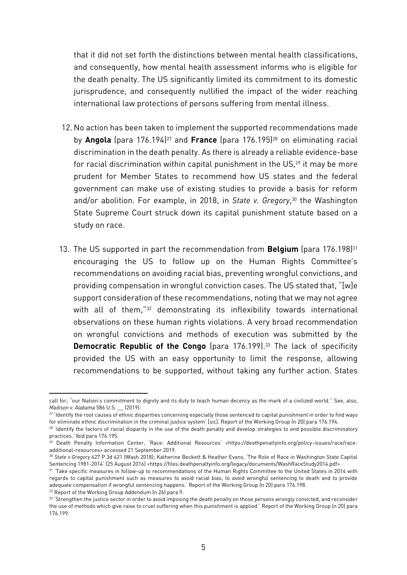that it did not set forth the distinctions between mental health classifications, and consequently, how mental health assessment informs who is eligible for the death penalty. The US significantly limited its commitment to its domestic jurisprudence, and consequently nullified the impact of the wider reaching international law protections of persons suffering from mental illness.

- 12. No action has been taken to implement the supported recommendations made by **Angola** (para 176.194)<sup>27</sup> and **France** (para 176.195)<sup>28</sup> on eliminating racial discrimination in the death penalty. As there is already a reliable evidence-base for racial discrimination within capital punishment in the US,<sup>29</sup> it may be more prudent for Member States to recommend how US states and the federal government can make use of existing studies to provide a basis for reform and/or abolition. For example, in 2018, in *State v. Gregory*, <sup>30</sup> the Washington State Supreme Court struck down its capital punishment statute based on a study on race.
- 13. The US supported in part the recommendation from **Belgium** (para 176.198)<sup>31</sup> encouraging the US to follow up on the Human Rights Committee's recommendations on avoiding racial bias, preventing wrongful convictions, and providing compensation in wrongful conviction cases. The US stated that, "[w]e support consideration of these recommendations, noting that we may not agree with all of them," <sup>32</sup> demonstrating its inflexibility towards international observations on these human rights violations. A very broad recommendation on wrongful convictions and methods of execution was submitted by the **Democratic Republic of the Congo** (para 176.199). <sup>33</sup> The lack of specificity provided the US with an easy opportunity to limit the response, allowing recommendations to be supported, without taking any further action. States

call for, "our Nation's commitment to dignity and its duty to teach human decency as the mark of a civilized world." See, also, *Madison v. Alabama* 586 U.S. \_\_ (2019).

<sup>&</sup>lt;sup>27</sup> 'Identify the root causes of ethnic disparities concerning especially those sentenced to capital punishment in order to find ways for eliminate ethnic discrimination in the criminal justice system' [sic]. Report of the Working Group (n 20) para 176.194.

<sup>&</sup>lt;sup>28</sup> 'Identify the factors of racial disparity in the use of the death penalty and develop strategies to end possible discriminatory practices.' Ibid para 176.195.

<sup>&</sup>lt;sup>29</sup> Death Penalty Information Center, 'Race: Additional Resources' <https://deathpenaltyinfo.org/policy-issues/race/raceadditional-resources> accessed 21 September 2019.

<sup>30</sup> *State v Gregory* 427 P 3d 621 (Wash 2018); Katherine Beckett & Heather Evans, 'The Role of Race in Washington State Capital Sentencing 1981-2014' (25 August 2016) <https://files.deathpenaltyinfo.org/legacy/documents/WashRaceStudy2014.pdf>.

<sup>&</sup>lt;sup>31</sup> 'Take specific measures in follow-up to recommendations of the Human Rights Committee to the United States in 2014 with regards to capital punishment such as measures to avoid racial bias, to avoid wrongful sentencing to death and to provide adequate compensation if wrongful sentencing happens.' Report of the Working Group (n 20) para 176.198. <sup>32</sup> Report of the Working Group Addendum (n 26) para 9.

<sup>&</sup>lt;sup>33</sup> 'Strengthen the justice sector in order to avoid imposing the death penalty on those persons wrongly convicted, and reconsider the use of methods which give raise to cruel suffering when this punishment is applied.' Report of the Working Group (n 20) para 176.199.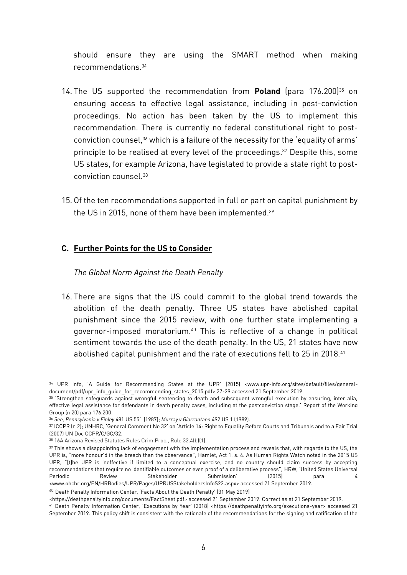should ensure they are using the SMART method when making recommendations. 34

- 14. The US supported the recommendation from **Poland** (para 176.200)<sup>35</sup> on ensuring access to effective legal assistance, including in post-conviction proceedings. No action has been taken by the US to implement this recommendation. There is currently no federal constitutional right to postconviction counsel,<sup>36</sup> which is a failure of the necessity for the 'equality of arms' principle to be realised at every level of the proceedings. <sup>37</sup> Despite this, some US states, for example Arizona, have legislated to provide a state right to postconviction counsel.<sup>38</sup>
- 15. Of the ten recommendations supported in full or part on capital punishment by the US in 2015, none of them have been implemented.<sup>39</sup>

#### **C. Further Points for the US to Consider**

#### *The Global Norm Against the Death Penalty*

16. There are signs that the US could commit to the global trend towards the abolition of the death penalty. Three US states have abolished capital punishment since the 2015 review, with one further state implementing a governor-imposed moratorium. <sup>40</sup> This is reflective of a change in political sentiment towards the use of the death penalty. In the US, 21 states have now abolished capital punishment and the rate of executions fell to 25 in 2018.<sup>41</sup>

**<sup>.</sup>** 34 UPR Info, 'A Guide for Recommending States at the UPR' (2015) <www.upr-info.org/sites/default/files/generaldocument/pdf/upr\_info\_quide\_for\_recommending\_states\_2015.pdf> 27-29 accessed 21 September 2019.

<sup>&</sup>lt;sup>35</sup> 'Strengthen safeguards against wrongful sentencing to death and subsequent wrongful execution by ensuring, inter alia, effective legal assistance for defendants in death penalty cases, including at the postconviction stage.' Report of the Working Group (n 20) para 176.200.

<sup>36</sup> *See, Pennsylvania v Finley* 481 US 551 (1987); *Murray v Giarrantano* 492 US 1 (1989).

<sup>37</sup> ICCPR (n 2); UNHRC, 'General Comment No 32' on 'Article 14: Right to Equality Before Courts and Tribunals and to a Fair Trial (2007) UN Doc CCPR/C/GC/32.

<sup>38</sup> 16A Arizona Revised Statutes Rules Crim.Proc., Rule 32.4(b)(1).

<sup>&</sup>lt;sup>39</sup> This shows a disappointing lack of engagement with the implementation process and reveals that, with regards to the US, the UPR is, "more honour'd in the breach than the observance", Hamlet, Act 1, s. 4. As Human Rights Watch noted in the 2015 US UPR, "[t]he UPR is ineffective if limited to a conceptual exercise, and no country should claim success by accepting recommendations that require no identifiable outcomes or even proof of a deliberative process", HRW, 'United States Universal Periodic Review Stakeholder Submission' (2015) para 4 <www.ohchr.org/EN/HRBodies/UPR/Pages/UPRUSStakeholdersInfoS22.aspx> accessed 21 September 2019.

<sup>40</sup> Death Penalty Information Center, 'Facts About the Death Penalty' (31 May 2019)

<sup>&</sup>lt;https://deathpenaltyinfo.org/documents/FactSheet.pdf> accessed 21 September 2019. Correct as at 21 September 2019.

<sup>41</sup> Death Penalty Information Center, 'Executions by Year' (2018) <https://deathpenaltyinfo.org/executions-year> accessed 21 September 2019. This policy shift is consistent with the rationale of the recommendations for the signing and ratification of the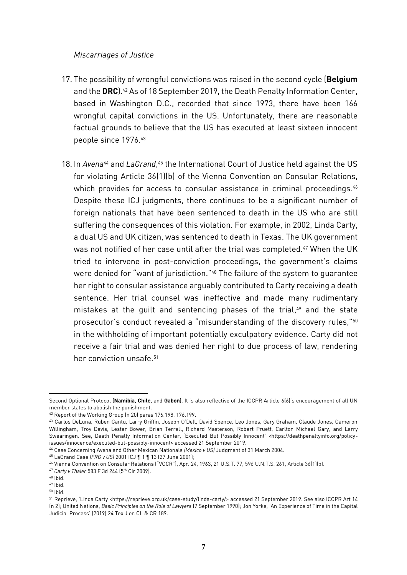#### *Miscarriages of Justice*

- 17. The possibility of wrongful convictions was raised in the second cycle (**Belgium** and the **DRC**). <sup>42</sup> As of 18 September 2019, the Death Penalty Information Center, based in Washington D.C., recorded that since 1973, there have been 166 wrongful capital convictions in the US. Unfortunately, there are reasonable factual grounds to believe that the US has executed at least sixteen innocent people since 1976. 43
- 18. In *Avena<sup>44</sup>* and *LaGrand*,<sup>45</sup> the International Court of Justice held against the US for violating Article 36(1)(b) of the Vienna Convention on Consular Relations, which provides for access to consular assistance in criminal proceedings.<sup>46</sup> Despite these ICJ judgments, there continues to be a significant number of foreign nationals that have been sentenced to death in the US who are still suffering the consequences of this violation. For example, in 2002, Linda Carty, a dual US and UK citizen, was sentenced to death in Texas. The UK government was not notified of her case until after the trial was completed.<sup>47</sup> When the UK tried to intervene in post-conviction proceedings, the government's claims were denied for "want of jurisdiction." <sup>48</sup> The failure of the system to guarantee her right to consular assistance arguably contributed to Carty receiving a death sentence. Her trial counsel was ineffective and made many rudimentary mistakes at the guilt and sentencing phases of the trial, <sup>49</sup> and the state prosecutor's conduct revealed a "misunderstanding of the discovery rules,"<sup>50</sup> in the withholding of important potentially exculpatory evidence. Carty did not receive a fair trial and was denied her right to due process of law, rendering her conviction unsafe.<sup>51</sup>

Second Optional Protocol (**Namibia, Chile,** and **Gabon**). It is also reflective of the ICCPR Article 6(6)'s encouragement of all UN member states to abolish the punishment.

<sup>42</sup> Report of the Working Group (n 20) paras 176.198, 176.199.

<sup>43</sup> Carlos DeLuna, Ruben Cantu, Larry Griffin, Joseph O'Dell, David Spence, Leo Jones, Gary Graham, Claude Jones, Cameron Willingham, Troy Davis, Lester Bower, Brian Terrell, Richard Masterson, Robert Pruett, Carlton Michael Gary, and Larry Swearingen. See, Death Penalty Information Center, 'Executed But Possibly Innocent' <https://deathpenaltyinfo.org/policyissues/innocence/executed-but-possibly-innocent> accessed 21 September 2019.

<sup>44</sup> Case Concerning Avena and Other Mexican Nationals *(Mexico v US)* Judgment of 31 March 2004.

<sup>45</sup> LaGrand Case *(FRG v US)* 2001 ICJ ¶ 1 ¶ 13 (27 June 2001);

<sup>46</sup> Vienna Convention on Consular Relations ("VCCR"), Apr. 24, 1963, 21 U.S.T. 77, 596 U.N.T.S. 261, Article 36(1)(b).

<sup>47</sup> *Carty v Thaler* 583 F 3d 244 (5th Cir 2009).

<sup>48</sup> Ibid.

<sup>49</sup> Ibid.

<sup>50</sup> Ibid.

<sup>51</sup> Reprieve, 'Linda Carty <https://reprieve.org.uk/case-study/linda-carty/> accessed 21 September 2019. See also ICCPR Art 14 (n 2); United Nations, *Basic Principles on the Role of Lawyers* (7 September 1990); Jon Yorke, 'An Experience of Time in the Capital Judicial Process' (2019) 24 Tex J on CL & CR 189.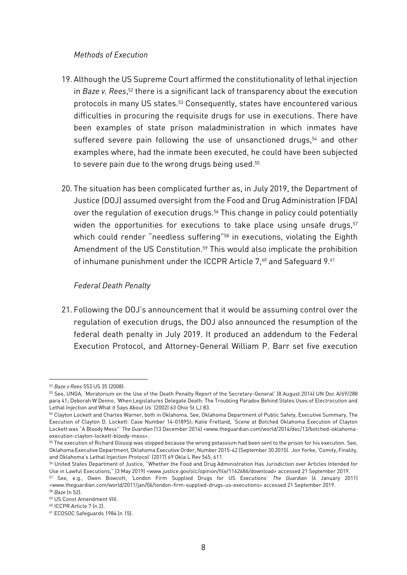#### *Methods of Execution*

- 19. Although the US Supreme Court affirmed the constitutionality of lethal injection in *Baze v. Rees*,<sup>52</sup> there is a significant lack of transparency about the execution protocols in many US states.<sup>53</sup> Consequently, states have encountered various difficulties in procuring the requisite drugs for use in executions. There have been examples of state prison maladministration in which inmates have suffered severe pain following the use of unsanctioned drugs,<sup>54</sup> and other examples where, had the inmate been executed, he could have been subjected to severe pain due to the wrong drugs being used.<sup>55</sup>
- 20. The situation has been complicated further as, in July 2019, the Department of Justice (DOJ) assumed oversight from the Food and Drug Administration (FDA) over the regulation of execution drugs. <sup>56</sup> This change in policy could potentially widen the opportunities for executions to take place using unsafe drugs, 57 which could render "needless suffering" <sup>58</sup> in executions, violating the Eighth Amendment of the US Constitution.<sup>59</sup> This would also implicate the prohibition of inhumane punishment under the ICCPR Article 7,<sup>60</sup> and Safeguard 9.<sup>61</sup>

#### *Federal Death Penalty*

21. Following the DOJ's announcement that it would be assuming control over the regulation of execution drugs, the DOJ also announced the resumption of the federal death penalty in July 2019. It produced an addendum to the Federal Execution Protocol, and Attorney-General William P. Barr set five execution

<sup>1</sup> <sup>52</sup> *Baze v Rees* 553 US 35 (2008).

<sup>53</sup> See, UNGA, 'Moratorium on the Use of the Death Penalty Report of the Secretary-General' (8 August 2014) UN Doc A/69/288 para 41; Deborah W Denno, 'When Legislatures Delegate Death: The Troubling Paradox Behind States Uses of Electrocution and Lethal Injection and What it Says About Us' (2002) 63 Ohio St LJ 83.

<sup>54</sup> Clayton Lockett and Charles Warner, both in Oklahoma, See, Oklahoma Department of Public Safety, Executive Summary, The Execution of Clayton D. Lockett: Case Number 14-0189SI; Katie Fretland, 'Scene at Botched Oklahoma Execution of Clayton Lockett was "A Bloody Mess"' *The Guardian* (13 December 2014) <www.theguardian.com/world/2014/dec/13/botched-oklahomaexecution-clayton-lockett-bloody-mess>.

<sup>&</sup>lt;sup>55</sup> The execution of Richard Glossip was stopped because the wrong potassium had been sent to the prison for his execution. See, Oklahoma Executive Department, Oklahoma Executive Order, Number 2015-42 (September 30 2015). Jon Yorke, 'Comity, Finality, and Oklahoma's Lethal Injection Protocol' (2017) 69 Okla L Rev 545, 611.

<sup>56</sup> United States Department of Justice, "Whether the Food and Drug Administration Has Jurisdiction over Articles Intended for Use in Lawful Executions," (3 May 2019) <www.justice.gov/olc/opinion/file/1162686/download> accessed 21 September 2019.

<sup>57</sup> See, e.g., Owen Bowcott, 'London Firm Supplied Drugs for US Executions' *The Guardian* (6 January 2011) <www.theguardian.com/world/2011/jan/06/london-firm-supplied-drugs-us-executions> accessed 21 September 2019. <sup>58</sup> *Baze* (n 52).

<sup>59</sup> US Const Amendment VIII.

<sup>60</sup> ICCPR Article 7 (n 2).

<sup>61</sup> ECOSOC Safeguards 1984 (n 15).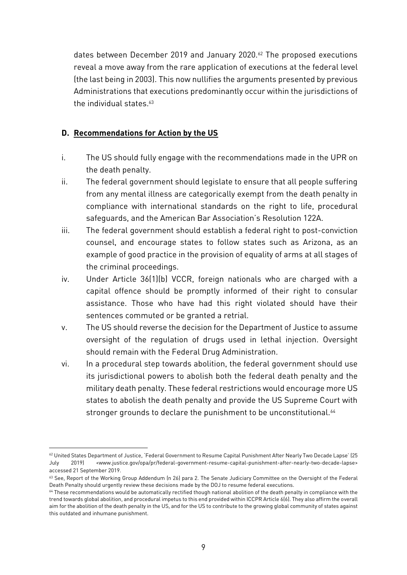dates between December 2019 and January 2020.<sup>62</sup> The proposed executions reveal a move away from the rare application of executions at the federal level (the last being in 2003). This now nullifies the arguments presented by previous Administrations that executions predominantly occur within the jurisdictions of the individual states.<sup>63</sup>

#### **D. Recommendations for Action by the US**

- i. The US should fully engage with the recommendations made in the UPR on the death penalty.
- ii. The federal government should legislate to ensure that all people suffering from any mental illness are categorically exempt from the death penalty in compliance with international standards on the right to life, procedural safeguards, and the American Bar Association's Resolution 122A.
- iii. The federal government should establish a federal right to post-conviction counsel, and encourage states to follow states such as Arizona, as an example of good practice in the provision of equality of arms at all stages of the criminal proceedings.
- iv. Under Article 36(1)(b) VCCR, foreign nationals who are charged with a capital offence should be promptly informed of their right to consular assistance. Those who have had this right violated should have their sentences commuted or be granted a retrial.
- v. The US should reverse the decision for the Department of Justice to assume oversight of the regulation of drugs used in lethal injection. Oversight should remain with the Federal Drug Administration.
- vi. In a procedural step towards abolition, the federal government should use its jurisdictional powers to abolish both the federal death penalty and the military death penalty. These federal restrictions would encourage more US states to abolish the death penalty and provide the US Supreme Court with stronger grounds to declare the punishment to be unconstitutional.<sup>64</sup>

**<sup>.</sup>** <sup>62</sup> United States Department of Justice, 'Federal Government to Resume Capital Punishment After Nearly Two Decade Lapse' (25 July 2019) <www.justice.gov/opa/pr/federal-government-resume-capital-punishment-after-nearly-two-decade-lapse> accessed 21 September 2019.

<sup>&</sup>lt;sup>63</sup> See, Report of the Working Group Addendum (n 26) para 2. The Senate Judiciary Committee on the Oversight of the Federal Death Penalty should urgently review these decisions made by the DOJ to resume federal executions.

<sup>64</sup> These recommendations would be automatically rectified though national abolition of the death penalty in compliance with the trend towards global abolition, and procedural impetus to this end provided within ICCPR Article 6(6). They also affirm the overall aim for the abolition of the death penalty in the US, and for the US to contribute to the growing global community of states against this outdated and inhumane punishment.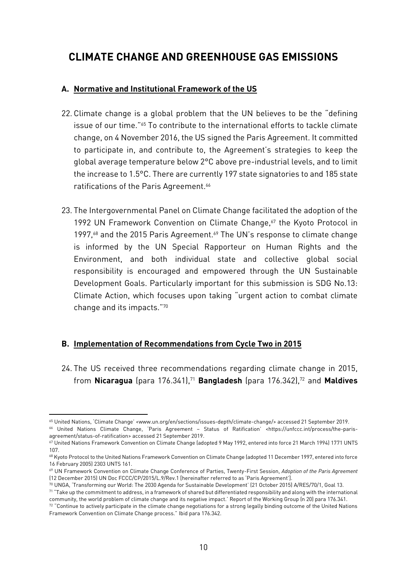# **CLIMATE CHANGE AND GREENHOUSE GAS EMISSIONS**

#### **A. Normative and Institutional Framework of the US**

- 22. Climate change is a global problem that the UN believes to be the "defining issue of our time."<sup>65</sup> To contribute to the international efforts to tackle climate change, on 4 November 2016, the US signed the Paris Agreement. It committed to participate in, and contribute to, the Agreement's strategies to keep the global average temperature below 2°C above pre-industrial levels, and to limit the increase to 1.5°C. There are currently 197 state signatories to and 185 state ratifications of the Paris Agreement. 66
- 23. The Intergovernmental Panel on Climate Change facilitated the adoption of the 1992 UN Framework Convention on Climate Change,<sup>67</sup> the Kyoto Protocol in 1997,<sup>68</sup> and the 2015 Paris Agreement.<sup>69</sup> The UN's response to climate change is informed by the UN Special Rapporteur on Human Rights and the Environment, and both individual state and collective global social responsibility is encouraged and empowered through the UN Sustainable Development Goals. Particularly important for this submission is SDG No.13: Climate Action, which focuses upon taking "urgent action to combat climate change and its impacts." 70

## **B. Implementation of Recommendations from Cycle Two in 2015**

24. The US received three recommendations regarding climate change in 2015, from **Nicaragua** (para 176.341),<sup>71</sup> **Bangladesh** (para 176.342), <sup>72</sup> and **Maldives**

**.** 

<sup>65</sup> United Nations, 'Climate Change' <www.un.org/en/sections/issues-depth/climate-change/> accessed 21 September 2019. <sup>66</sup> United Nations Climate Change, 'Paris Agreement – Status of Ratification' <https://unfccc.int/process/the-paris-

agreement/status-of-ratification> accessed 21 September 2019.

<sup>67</sup> United Nations Framework Convention on Climate Change (adopted 9 May 1992, entered into force 21 March 1994) 1771 UNTS 107.

<sup>68</sup> Kyoto Protocol to the United Nations Framework Convention on Climate Change (adopted 11 December 1997, entered into force 16 February 2005) 2303 UNTS 161.

<sup>69</sup> UN Framework Convention on Climate Change Conference of Parties, Twenty-First Session, *Adoption of the Paris Agreement* (12 December 2015) UN Doc FCCC/CP/2015/L.9/Rev.1 [hereinafter referred to as 'Paris Agreement'].

<sup>70</sup> UNGA, 'Transforming our World: The 2030 Agenda for Sustainable Development' (21 October 2015) A/RES/70/1, Goal 13.

<sup>71</sup> "Take up the commitment to address, in a framework of shared but differentiated responsibility and along with the international community, the world problem of climate change and its negative impact.' Report of the Working Group (n 20) para 176.341.

<sup>72 &</sup>quot;Continue to actively participate in the climate change negotiations for a strong legally binding outcome of the United Nations Framework Convention on Climate Change process." Ibid para 176.342.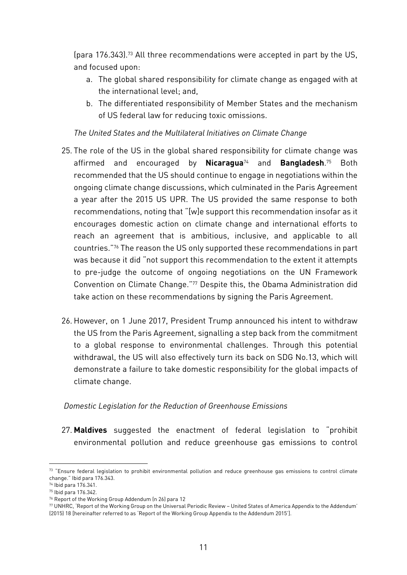(para 176.343).<sup>73</sup> All three recommendations were accepted in part by the US, and focused upon:

- a. The global shared responsibility for climate change as engaged with at the international level; and,
- b. The differentiated responsibility of Member States and the mechanism of US federal law for reducing toxic omissions.

#### *The United States and the Multilateral Initiatives on Climate Change*

- 25. The role of the US in the global shared responsibility for climate change was affirmed and encouraged by **Nicaragua**<sup>74</sup> and **Bangladesh**. <sup>75</sup> Both recommended that the US should continue to engage in negotiations within the ongoing climate change discussions, which culminated in the Paris Agreement a year after the 2015 US UPR. The US provided the same response to both recommendations, noting that "[w]e support this recommendation insofar as it encourages domestic action on climate change and international efforts to reach an agreement that is ambitious, inclusive, and applicable to all countries." <sup>76</sup> The reason the US only supported these recommendations in part was because it did "not support this recommendation to the extent it attempts to pre-judge the outcome of ongoing negotiations on the UN Framework Convention on Climate Change." <sup>77</sup> Despite this, the Obama Administration did take action on these recommendations by signing the Paris Agreement.
- 26. However, on 1 June 2017, President Trump announced his intent to withdraw the US from the Paris Agreement, signalling a step back from the commitment to a global response to environmental challenges. Through this potential withdrawal, the US will also effectively turn its back on SDG No.13, which will demonstrate a failure to take domestic responsibility for the global impacts of climate change.

#### *Domestic Legislation for the Reduction of Greenhouse Emissions*

27. **Maldives** suggested the enactment of federal legislation to "prohibit environmental pollution and reduce greenhouse gas emissions to control

 $73$  "Ensure federal legislation to prohibit environmental pollution and reduce greenhouse gas emissions to control climate change." Ibid para 176.343.

<sup>74</sup> Ibid para 176.341.

<sup>75</sup> Ibid para 176.342.

<sup>76</sup> Report of the Working Group Addendum (n 26) para 12

<sup>77</sup> UNHRC, 'Report of the Working Group on the Universal Periodic Review – United States of America Appendix to the Addendum' (2015) 18 [hereinafter referred to as 'Report of the Working Group Appendix to the Addendum 2015'].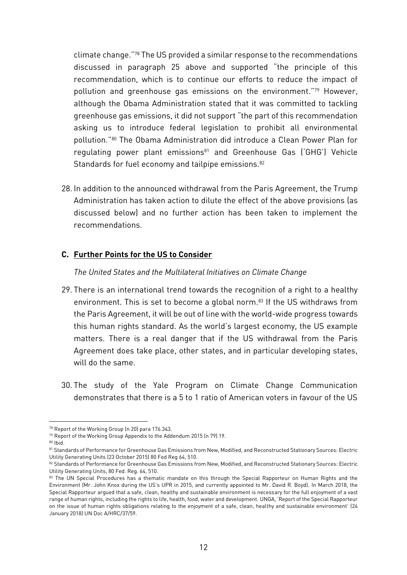climate change." <sup>78</sup> The US provided a similar response to the recommendations discussed in paragraph 25 above and supported "the principle of this recommendation, which is to continue our efforts to reduce the impact of pollution and greenhouse gas emissions on the environment." <sup>79</sup> However, although the Obama Administration stated that it was committed to tackling greenhouse gas emissions, it did not support "the part of this recommendation asking us to introduce federal legislation to prohibit all environmental pollution." <sup>80</sup> The Obama Administration did introduce a Clean Power Plan for regulating power plant emissions<sup>81</sup> and Greenhouse Gas ('GHG') Vehicle Standards for fuel economy and tailpipe emissions.<sup>82</sup>

28. In addition to the announced withdrawal from the Paris Agreement, the Trump Administration has taken action to dilute the effect of the above provisions (as discussed below) and no further action has been taken to implement the recommendations.

#### **C. Further Points for the US to Consider**

#### *The United States and the Multilateral Initiatives on Climate Change*

- 29. There is an international trend towards the recognition of a right to a healthy environment. This is set to become a global norm.<sup>83</sup> If the US withdraws from the Paris Agreement, it will be out of line with the world-wide progress towards this human rights standard. As the world's largest economy, the US example matters. There is a real danger that if the US withdrawal from the Paris Agreement does take place, other states, and in particular developing states, will do the same.
- 30. The study of the Yale Program on Climate Change Communication demonstrates that there is a 5 to 1 ratio of American voters in favour of the US

<sup>78</sup> Report of the Working Group (n 20) para 176.343.

<sup>79</sup> Report of the Working Group Appendix to the Addendum 2015 (n 79) 19.

 $80$  Ihid.

<sup>81</sup> Standards of Performance for Greenhouse Gas Emissions from New, Modified, and Reconstructed Stationary Sources: Electric Utility Generating Units (23 October 2015) 80 Fed Reg 64, 510.

<sup>82</sup> Standards of Performance for Greenhouse Gas Emissions from New, Modified, and Reconstructed Stationary Sources: Electric Utility Generating Units, 80 Fed. Reg. 64, 510.

<sup>83</sup> The UN Special Procedures has a thematic mandate on this through the Special Rapporteur on Human Rights and the Environment (Mr. John Knox during the US's UPR in 2015, and currently appointed to Mr. David R. Boyd). In March 2018, the Special Rapporteur argued that a safe, clean, healthy and sustainable environment is necessary for the full enjoyment of a vast range of human rights, including the rights to life, health, food, water and development. UNGA, 'Report of the Special Rapporteur on the issue of human rights obligations relating to the enjoyment of a safe, clean, healthy and sustainable environment' (24 January 2018) UN Doc A/HRC/37/59.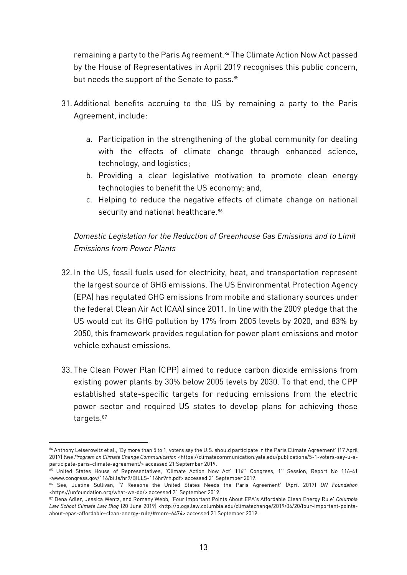remaining a party to the Paris Agreement.<sup>84</sup> The Climate Action Now Act passed by the House of Representatives in April 2019 recognises this public concern, but needs the support of the Senate to pass. 85

- 31. Additional benefits accruing to the US by remaining a party to the Paris Agreement, include:
	- a. Participation in the strengthening of the global community for dealing with the effects of climate change through enhanced science, technology, and logistics;
	- b. Providing a clear legislative motivation to promote clean energy technologies to benefit the US economy; and,
	- c. Helping to reduce the negative effects of climate change on national security and national healthcare.<sup>86</sup>

## *Domestic Legislation for the Reduction of Greenhouse Gas Emissions and to Limit Emissions from Power Plants*

- 32. In the US, fossil fuels used for electricity, heat, and transportation represent the largest source of GHG emissions. The US Environmental Protection Agency (EPA) has regulated GHG emissions from mobile and stationary sources under the federal Clean Air Act (CAA) since 2011. In line with the 2009 pledge that the US would cut its GHG pollution by 17% from 2005 levels by 2020, and 83% by 2050, this framework provides regulation for power plant emissions and motor vehicle exhaust emissions.
- 33. The Clean Power Plan (CPP) aimed to reduce carbon dioxide emissions from existing power plants by 30% below 2005 levels by 2030. To that end, the CPP established state-specific targets for reducing emissions from the electric power sector and required US states to develop plans for achieving those targets.<sup>87</sup>

 $\overline{a}$ 

<sup>84</sup> Anthony Leiserowitz et al., 'By more than 5 to 1, voters say the U.S. should participate in the Paris Climate Agreement' (17 April 2017) *Yale Program on Climate Change Communication* <https://climatecommunication.yale.edu/publications/5-1-voters-say-u-sparticipate-paris-climate-agreement/> accessed 21 September 2019.

<sup>85</sup> United States House of Representatives, 'Climate Action Now Act' 116<sup>th</sup> Congress, 1<sup>st</sup> Session, Report No 116-41 <www.congress.gov/116/bills/hr9/BILLS-116hr9rh.pdf> accessed 21 September 2019.

<sup>86</sup> See, Justine Sullivan, '7 Reasons the United States Needs the Paris Agreement' (April 2017) *UN Foundation* <https://unfoundation.org/what-we-do/> accessed 21 September 2019.

<sup>87</sup> Dena Adler, Jessica Wentz, and Romany Webb, 'Four Important Points About EPA's Affordable Clean Energy Rule' *Columbia Law School Climate Law Blog* (20 June 2019) <http://blogs.law.columbia.edu/climatechange/2019/06/20/four-important-pointsabout-epas-affordable-clean-energy-rule/#more-6474> accessed 21 September 2019.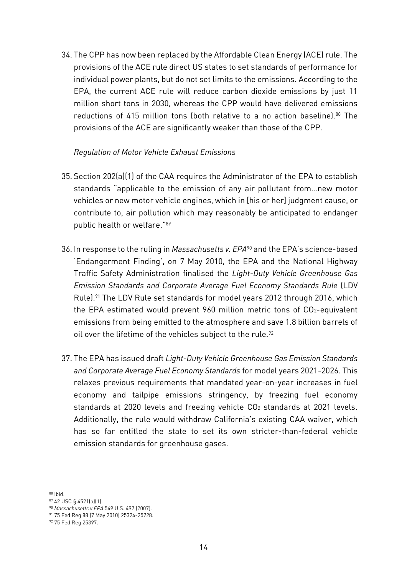34. The CPP has now been replaced by the Affordable Clean Energy (ACE) rule. The provisions of the ACE rule direct US states to set standards of performance for individual power plants, but do not set limits to the emissions. According to the EPA, the current ACE rule will reduce carbon dioxide emissions by just 11 million short tons in 2030, whereas the CPP would have delivered emissions reductions of 415 million tons (both relative to a no action baseline).<sup>88</sup> The provisions of the ACE are significantly weaker than those of the CPP.

#### *Regulation of Motor Vehicle Exhaust Emissions*

- 35. Section 202(a)(1) of the CAA requires the Administrator of the EPA to establish standards "applicable to the emission of any air pollutant from…new motor vehicles or new motor vehicle engines, which in [his or her] judgment cause, or contribute to, air pollution which may reasonably be anticipated to endanger public health or welfare." 89
- 36. In response to the ruling in *Massachusetts v. EPA*<sup>90</sup> and the EPA's science-based 'Endangerment Finding', on 7 May 2010, the EPA and the National Highway Traffic Safety Administration finalised the *Light-Duty Vehicle Greenhouse Gas Emission Standards and Corporate Average Fuel Economy Standards Rule* (LDV Rule).<sup>91</sup> The LDV Rule set standards for model years 2012 through 2016, which the EPA estimated would prevent 960 million metric tons of CO2-equivalent emissions from being emitted to the atmosphere and save 1.8 billion barrels of oil over the lifetime of the vehicles subject to the rule.<sup>92</sup>
- 37. The EPA has issued draft *Light-Duty Vehicle Greenhouse Gas Emission Standards and Corporate Average Fuel Economy Standards* for model years 2021-2026. This relaxes previous requirements that mandated year-on-year increases in fuel economy and tailpipe emissions stringency, by freezing fuel economy standards at 2020 levels and freezing vehicle CO<sub>2</sub> standards at 2021 levels. Additionally, the rule would withdraw California's existing CAA waiver, which has so far entitled the state to set its own stricter-than-federal vehicle emission standards for greenhouse gases.

**<sup>.</sup>** <sup>88</sup> Ibid.

<sup>89</sup> 42 USC § 4521(a)(1).

<sup>90</sup> *Massachusetts v EPA* 549 U.S. 497 (2007).

<sup>91</sup> 75 Fed Reg 88 (7 May 2010) 25324-25728.

<sup>92 75</sup> Fed Reg 25397.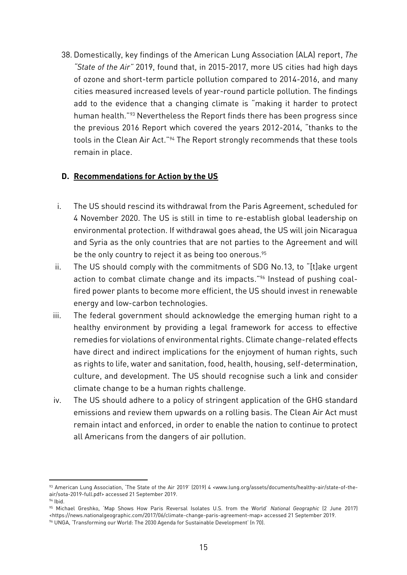38. Domestically, key findings of the American Lung Association (ALA) report, *The "State of the Air"* 2019, found that, in 2015-2017, more US cities had high days of ozone and short-term particle pollution compared to 2014-2016, and many cities measured increased levels of year-round particle pollution. The findings add to the evidence that a changing climate is "making it harder to protect human health." <sup>93</sup> Nevertheless the Report finds there has been progress since the previous 2016 Report which covered the years 2012-2014, "thanks to the tools in the Clean Air Act." <sup>94</sup> The Report strongly recommends that these tools remain in place.

#### **D. Recommendations for Action by the US**

 $\overline{a}$ 

- i. The US should rescind its withdrawal from the Paris Agreement, scheduled for 4 November 2020. The US is still in time to re-establish global leadership on environmental protection. If withdrawal goes ahead, the US will join Nicaragua and Syria as the only countries that are not parties to the Agreement and will be the only country to reject it as being too onerous.<sup>95</sup>
- ii. The US should comply with the commitments of SDG No.13, to "[t]ake urgent action to combat climate change and its impacts."<sup>96</sup> Instead of pushing coalfired power plants to become more efficient, the US should invest in renewable energy and low-carbon technologies.
- iii. The federal government should acknowledge the emerging human right to a healthy environment by providing a legal framework for access to effective remedies for violations of environmental rights. Climate change-related effects have direct and indirect implications for the enjoyment of human rights, such as rights to life, water and sanitation, food, health, housing, self-determination, culture, and development. The US should recognise such a link and consider climate change to be a human rights challenge.
- iv. The US should adhere to a policy of stringent application of the GHG standard emissions and review them upwards on a rolling basis. The Clean Air Act must remain intact and enforced, in order to enable the nation to continue to protect all Americans from the dangers of air pollution.

<sup>93</sup> American Lung Association, 'The State of the Air 2019' (2019) 4 <www.lung.org/assets/documents/healthy-air/state-of-theair/sota-2019-full.pdf> accessed 21 September 2019. <sup>94</sup> Ibid.

<sup>95</sup> Michael Greshko, 'Map Shows How Paris Reversal Isolates U.S. from the World' *National Geographic* (2 June 2017) <https://news.nationalgeographic.com/2017/06/climate-change-paris-agreement-map> accessed 21 September 2019. <sup>96</sup> UNGA, 'Transforming our World: The 2030 Agenda for Sustainable Development' (n 70).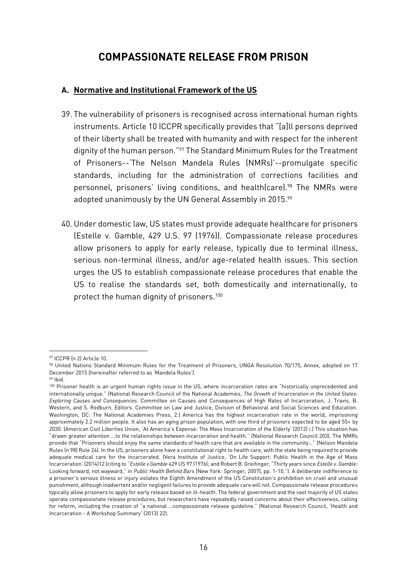# **COMPASSIONATE RELEASE FROM PRISON**

#### **A. Normative and Institutional Framework of the US**

- 39. The vulnerability of prisoners is recognised across international human rights instruments. Article 10 ICCPR specifically provides that "[a]ll persons deprived of their liberty shall be treated with humanity and with respect for the inherent dignity of the human person."<sup>97</sup> The Standard Minimum Rules for the Treatment of Prisoners--'The Nelson Mandela Rules (NMRs)'--promulgate specific standards, including for the administration of corrections facilities and personnel, prisoners' living conditions, and health(care).<sup>98</sup> The NMRs were adopted unanimously by the UN General Assembly in 2015.99
- 40. Under domestic law, US states must provide adequate healthcare for prisoners (Estelle v. Gamble, 429 U.S. 97 (1976)). Compassionate release procedures allow prisoners to apply for early release, typically due to terminal illness, serious non-terminal illness, and/or age-related health issues. This section urges the US to establish compassionate release procedures that enable the US to realise the standards set, both domestically and internationally, to protect the human dignity of prisoners.<sup>100</sup>

<sup>97</sup> ICCPR (n 2) Article 10.

<sup>98</sup> United Nations Standard Minimum Rules for the Treatment of Prisoners, UNGA Resolution 70/175, Annex, adopted on 17 December 2015 [hereinafter referred to as 'Mandela Rules'].

<sup>99</sup> Ibid.

<sup>100</sup> Prisoner health is an urgent human rights issue in the US, where incarceration rates are "historically unprecedented and internationally unique." (National Research Council of the National Academies, *The Growth of Incarceration in the United States: Exploring Causes and Consequences.* Committee on Causes and Consequences of High Rates of Incarceration, J. Travis, B. Western, and S. Redburn, Editors. Committee on Law and Justice, Division of Behavioral and Social Sciences and Education. Washington, DC: The National Academies Press, 2.) America has the highest incarceration rate in the world, imprisoning approximately 2.2 million people. It also has an aging prison population, with one third of prisoners expected to be aged 55+ by 2030. (American Civil Liberties Union, 'At America's Expense: The Mass Incarceration of the Elderly' (2012) i.) This situation has "drawn greater attention ...to the relationships between incarceration and health." (National Research Council 203). The NMRs provide that "Prisoners should enjoy the same standards of health care that are available in the community…" (Nelson Mandela Rules (n 98) Rule 24). In the US, prisoners alone have a constitutional right to health care, with the state being required to provide adequate medical care for the incarcerated. (Vera Institute of Justice, 'On Life Support: Public Health in the Age of Mass Incarceration' (2014)12 (citing to "*Estelle v Gamble* 429 US 97 (1976); and Robert B. Greifinger, "Thirty years since *Estelle v. Gamble*: Looking forward, not wayward," in *Public Health Behind Bars* (New York: Springer, 2007), pp. 1-10."). A deliberate indifference to a prisoner's serious illness or injury violates the Eighth Amendment of the US Constitution's prohibition on cruel and unusual punishment, although inadvertent and/or negligent failures to provide adequate care will not. Compassionate release procedures typically allow prisoners to apply for early release based on ill-health. The federal government and the vast majority of US states operate compassionate release procedures, but researchers have repeatedly raised concerns about their effectiveness, calling for reform, including the creation of "a national …compassionate release guideline." (National Research Council, 'Health and Incarceration - A Workshop Summary' (2013) 22).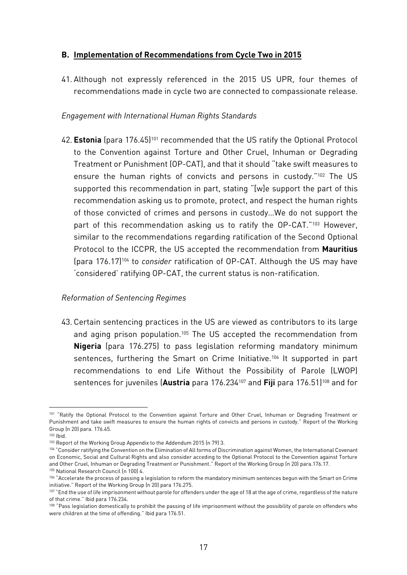#### **B. Implementation of Recommendations from Cycle Two in 2015**

41. Although not expressly referenced in the 2015 US UPR, four themes of recommendations made in cycle two are connected to compassionate release.

#### *Engagement with International Human Rights Standards*

42. **Estonia** (para 176.45)<sup>101</sup> recommended that the US ratify the Optional Protocol to the Convention against Torture and Other Cruel, Inhuman or Degrading Treatment or Punishment (OP-CAT), and that it should "take swift measures to ensure the human rights of convicts and persons in custody."<sup>102</sup> The US supported this recommendation in part, stating "[w]e support the part of this recommendation asking us to promote, protect, and respect the human rights of those convicted of crimes and persons in custody…We do not support the part of this recommendation asking us to ratify the OP-CAT."<sup>103</sup> However, similar to the recommendations regarding ratification of the Second Optional Protocol to the ICCPR, the US accepted the recommendation from **Mauritius** (para 176.17)<sup>104</sup> to *consider* ratification of OP-CAT. Although the US may have 'considered' ratifying OP-CAT, the current status is non-ratification.

#### *Reformation of Sentencing Regimes*

43. Certain sentencing practices in the US are viewed as contributors to its large and aging prison population.<sup>105</sup> The US accepted the recommendation from **Nigeria** (para 176.275) to pass legislation reforming mandatory minimum sentences, furthering the Smart on Crime Initiative.<sup>106</sup> It supported in part recommendations to end Life Without the Possibility of Parole (LWOP) sentences for juveniles (**Austria** para 176.234<sup>107</sup> and **Fiji** para 176.51)<sup>108</sup> and for

<sup>1</sup> <sup>101</sup> "Ratify the Optional Protocol to the Convention against Torture and Other Cruel, Inhuman or Degrading Treatment or Punishment and take swift measures to ensure the human rights of convicts and persons in custody." Report of the Working Group (n 20) para. 176.45.

 $102$  Ibid.

<sup>103</sup> Report of the Working Group Appendix to the Addendum 2015 (n 79) 3.

<sup>104</sup> "Consider ratifying the Convention on the Elimination of All forms of Discrimination against Women, the International Covenant on Economic, Social and Cultural Rights and also consider acceding to the Optional Protocol to the Convention against Torture and Other Cruel, Inhuman or Degrading Treatment or Punishment." Report of the Working Group (n 20) para.176.17.

<sup>105</sup> National Research Council (n 100) 4.

<sup>106 &</sup>quot;Accelerate the process of passing a legislation to reform the mandatory minimum sentences begun with the Smart on Crime initiative." Report of the Working Group (n 20) para 176.275.

<sup>&</sup>lt;sup>107</sup> "End the use of life imprisonment without parole for offenders under the age of 18 at the age of crime, regardless of the nature of that crime." Ibid para 176.234.

<sup>&</sup>lt;sup>108</sup> "Pass legislation domestically to prohibit the passing of life imprisonment without the possibility of parole on offenders who were children at the time of offending." Ibid para 176.51.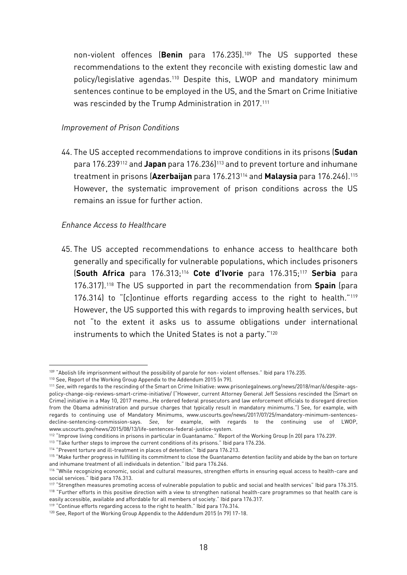non-violent offences (**Benin** para 176.235).<sup>109</sup> The US supported these recommendations to the extent they reconcile with existing domestic law and policy/legislative agendas.<sup>110</sup> Despite this, LWOP and mandatory minimum sentences continue to be employed in the US, and the Smart on Crime Initiative was rescinded by the Trump Administration in 2017.<sup>111</sup>

#### *Improvement of Prison Conditions*

44. The US accepted recommendations to improve conditions in its prisons (**Sudan** para 176.239<sup>112</sup> and **Japan** para 176.236)<sup>113</sup> and to prevent torture and inhumane treatment in prisons (**Azerbaijan** para 176.213<sup>114</sup> and **Malaysia** para 176.246).<sup>115</sup> However, the systematic improvement of prison conditions across the US remains an issue for further action.

#### *Enhance Access to Healthcare*

1

45. The US accepted recommendations to enhance access to healthcare both generally and specifically for vulnerable populations, which includes prisoners (**South Africa** para 176.313;<sup>116</sup> **Cote d'Ivorie** para 176.315;<sup>117</sup> **Serbia** para 176.317).<sup>118</sup> The US supported in part the recommendation from **Spain** (para 176.314) to "[c]ontinue efforts regarding access to the right to health."<sup>119</sup> However, the US supported this with regards to improving health services, but not "to the extent it asks us to assume obligations under international instruments to which the United States is not a party." 120

<sup>109 &</sup>quot;Abolish life imprisonment without the possibility of parole for non- violent offenses." Ibid para 176.235.

<sup>110</sup> See, Report of the Working Group Appendix to the Addendum 2015 (n 79).

<sup>111</sup> *See*, with regards to the rescinding of the Smart on Crime Initiative: www.prisonlegalnews.org/news/2018/mar/6/despite-agspolicy-change-oig-reviews-smart-crime-initiative/ ("However, current Attorney General Jeff Sessions rescinded the [Smart on Crime] initiative in a May 10, 2017 memo…He ordered federal prosecutors and law enforcement officials to disregard direction from the Obama administration and pursue charges that typically result in mandatory minimums.") See, for example, with regards to continuing use of Mandatory Minimums, www.uscourts.gov/news/2017/07/25/mandatory-minimum-sentencesdecline-sentencing-commission-says. *See*, for example, with regards to the continuing use of LWOP, www.uscourts.gov/news/2015/08/13/life-sentences-federal-justice-system.

<sup>112</sup> "Improve living conditions in prisons in particular in Guantanamo." Report of the Working Group (n 20) para 176.239.

<sup>&</sup>lt;sup>113</sup> "Take further steps to improve the current conditions of its prisons." Ibid para 176.236.

<sup>114</sup> "Prevent torture and ill-treatment in places of detention." Ibid para 176.213.

<sup>115 &</sup>quot;Make further progress in fulfilling its commitment to close the Guantanamo detention facility and abide by the ban on torture and inhumane treatment of all individuals in detention." Ibid para 176.246.

<sup>116 &</sup>quot;While recognizing economic, social and cultural measures, strengthen efforts in ensuring equal access to health-care and social services." Ibid para 176.313.

<sup>117</sup> "Strengthen measures promoting access of vulnerable population to public and social and health services" Ibid para 176.315. 118 "Further efforts in this positive direction with a view to strengthen national health-care programmes so that health care is easily accessible, available and affordable for all members of society." Ibid para 176.317.

<sup>119</sup> "Continue efforts regarding access to the right to health." Ibid para 176.314.

<sup>120</sup> See, Report of the Working Group Appendix to the Addendum 2015 (n 79) 17-18.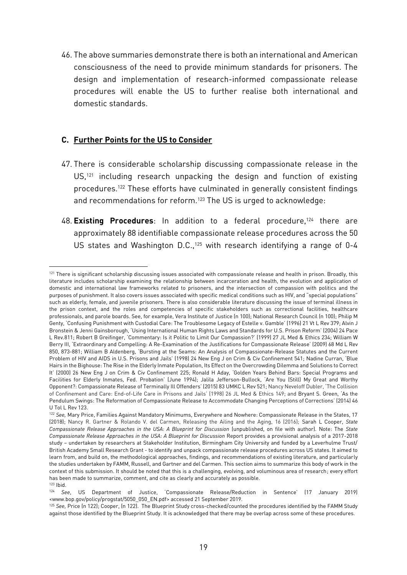46. The above summaries demonstrate there is both an international and American consciousness of the need to provide minimum standards for prisoners. The design and implementation of research-informed compassionate release procedures will enable the US to further realise both international and domestic standards.

#### **C. Further Points for the US to Consider**

 $\overline{a}$ 

- 47. There is considerable scholarship discussing compassionate release in the US,<sup>121</sup> including research unpacking the design and function of existing procedures.<sup>122</sup> These efforts have culminated in generally consistent findings and recommendations for reform.<sup>123</sup> The US is urged to acknowledge:
- 48. **Existing Procedures**: In addition to a federal procedure, <sup>124</sup> there are approximately 88 identifiable compassionate release procedures across the 50 US states and Washington D.C.,<sup>125</sup> with research identifying a range of 0-4

<sup>&</sup>lt;sup>121</sup> There is significant scholarship discussing issues associated with compassionate release and health in prison. Broadly, this literature includes scholarship examining the relationship between incarceration and health, the evolution and application of domestic and international law frameworks related to prisoners, and the intersection of compassion with politics and the purposes of punishment. It also covers issues associated with specific medical conditions such as HIV, and "special populations" such as elderly, female, and juvenile prisoners. There is also considerable literature discussing the issue of terminal illness in the prison context, and the roles and competencies of specific stakeholders such as correctional facilities, healthcare professionals, and parole boards. See, for example, Vera Institute of Justice (n 100); National Research Council (n 100); Philip M Genty, 'Confusing Punishment with Custodial Care: The Troublesome Legacy of Estelle v. Gamble' (1996) 21 Vt L Rev 379; Alvin J Bronstein & Jenni Gainsborough, 'Using International Human Rights Laws and Standards for U.S. Prison Reform' (2004) 24 Pace L Rev.811; Robert B Greifinger, 'Commentary: Is it Politic to Limit Our Compassion?' (1999) 27 JL Med & Ethics 234; William W Berry III, 'Extraordinary and Compelling: A Re-Examination of the Justifications for Compassionate Release' (2009) 68 Md L Rev 850, 873-881; William B Aldenberg, 'Bursting at the Seams: An Analysis of Compassionate-Release Statutes and the Current Problem of HIV and AIDS in U.S. Prisons and Jails' (1998) 24 New Eng J on Crim & Civ Confinement 541; Nadine Curran, 'Blue Hairs in the Bighouse: The Rise in the Elderly Inmate Population, Its Effect on the Overcrowding Dilemma and Solutions to Correct It' (2000) 26 New Eng J on Crim & Civ Confinement 225; Ronald H Aday, 'Golden Years Behind Bars: Special Programs and Facilities for Elderly Inmates, Fed. Probation' (June 1994); Jalila Jefferson-Bullock, 'Are You (Still) My Great and Worthy Opponent?: Compassionate Release of Terminally Ill Offenders' (2015) 83 UMKC L Rev 521; Nancy Neveloff Dubler, 'The Collision of Confinement and Care: End-of-Life Care in Prisons and Jails' (1998) 26 JL Med & Ethics 149; and Bryant S. Green, 'As the Pendulum Swings: The Reformation of Compassionate Release to Accommodate Changing Perceptions of Corrections' (2014) 46 U Tol L Rev 123.

<sup>122</sup> *See,* Mary Price, Families Against Mandatory Minimums, Everywhere and Nowhere: Compassionate Release in the States, 17 (2018); Nancy R. Gartner & Rolando V. del Carmen, Releasing the Ailing and the Aging, 16 (2016); Sarah L Cooper, *State Compassionate Release Approaches in the USA: A Blueprint for Discussion* (unpublished, on file with author). Note: The *State Compassionate Release Approaches in the USA: A Blueprint for Discussion* Report provides a provisional analysis of a 2017-2018 study – undertaken by researchers at Stakeholder Institution, Birmingham City University and funded by a Leverhulme Trust/ British Academy Small Research Grant - to identify and unpack compassionate release procedures across US states. It aimed to learn from, and build on, the methodological approaches, findings, and recommendations of existing literature, and particularly the studies undertaken by FAMM, Russell, and Gartner and del Carmen. This section aims to summarize this body of work in the context of this submission. It should be noted that this is a challenging, evolving, and voluminous area of research; every effort has been made to summarize, comment, and cite as clearly and accurately as possible.  $123$  Ibid.

<sup>124</sup> *See*, US Department of Justice, 'Compassionate Release/Reduction in Sentence' (17 January 2019) <www.bop.gov/policy/progstat/5050\_050\_EN.pdf> accessed 21 September 2019.

<sup>125</sup> *See,* Price (n 122); Cooper, (n 122). The Blueprint Study cross-checked/counted the procedures identified by the FAMM Study against those identified by the Blueprint Study. It is acknowledged that there may be overlap across some of these procedures.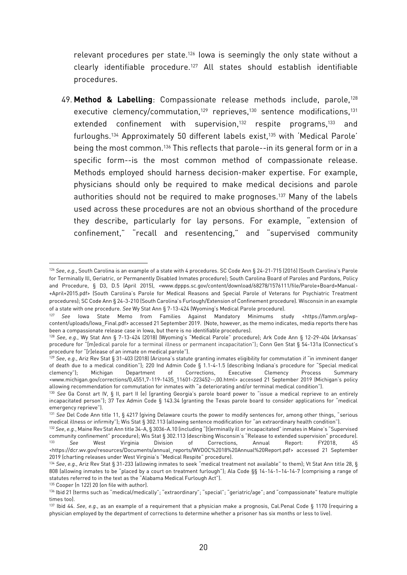relevant procedures per state.<sup>126</sup> Iowa is seemingly the only state without a clearly identifiable procedure.<sup>127</sup> All states should establish identifiable procedures.

49. **Method & Labelling**: Compassionate release methods include, parole,<sup>128</sup> executive clemency/commutation,<sup>129</sup> reprieves,<sup>130</sup> sentence modifications,<sup>131</sup> extended confinement with supervision,<sup>132</sup> respite programs,<sup>133</sup> and furloughs.<sup>134</sup> Approximately 50 different labels exist,<sup>135</sup> with 'Medical Parole' being the most common.<sup>136</sup> This reflects that parole--in its general form or in a specific form--is the most common method of compassionate release. Methods employed should harness decision-maker expertise. For example, physicians should only be required to make medical decisions and parole authorities should not be required to make prognoses. <sup>137</sup> Many of the labels used across these procedures are not an obvious shorthand of the procedure they describe, particularly for lay persons. For example, "extension of confinement," "recall and resentencing," and "supervised community

<sup>126</sup> *See*, *e.g.*, South Carolina is an example of a state with 4 procedures. SC Code Ann § 24-21-715 (2016) (South Carolina's Parole for Terminally Ill, Geriatric, or Permanently Disabled Inmates procedure); South Carolina Board of Paroles and Pardons, Policy and Procedure, § D3, D.5 (April 2015), <www.dppps.sc.gov/content/download/68278/1576111/file/Parole+Board+Manual- +April+2015.pdf> (South Carolina's Parole for Medical Reasons and Special Parole of Veterans for Psychiatric Treatment procedures); SC Code Ann § 24-3-210 (South Carolina's Furlough/Extension of Confinement procedure). Wisconsin in an example of a state with one procedure. *See* Wy Stat Ann § 7-13-424 (Wyoming's Medical Parole procedure).

<sup>127</sup> *See* Iowa State Memo from Families Against Mandatory Minimums study <https://famm.org/wpcontent/uploads/Iowa\_Final.pdf> accessed 21 September 2019. (Note, however, as the memo indicates, media reports there has been a compassionate release case in Iowa, but there is no identifiable procedures).

<sup>128</sup> *See*, *e.g.*, Wy Stat Ann § 7-13-424 (2018) (Wyoming's "Medical Parole" procedure); Ark Code Ann § 12-29-404 (Arkansas' procedure for "[m]edical parole for a terminal illness or permanent incapacitation"); Conn Gen Stat § 54-131a (Connecticut's procedure for "[r]elease of an inmate on medical parole").

<sup>129</sup> *See*, *e.g.*, Ariz Rev Stat § 31-403 (2018) (Arizona's statute granting inmates eligibility for commutation if "in imminent danger of death due to a medical condition"); 220 Ind Admin Code § 1.1-4-1.5 (describing Indiana's procedure for "Special medical clemency"); Michigan Department of Corrections, Executive Clemency Process Summary <www.michigan.gov/corrections/0,4551,7-119-1435\_11601-223452--,00.html> accessed 21 September 2019 (Michigan's policy allowing recommendation for commutation for inmates with "a deteriorating and/or terminal medical condition").

<sup>130</sup> *See* [Ga Const art IV, § II, part](https://law.justia.com/citations.html) II (e) (granting Georgia's parole board power to "issue a medical reprieve to an entirely incapacitated person"); 37 Tex Admin Code § 143.34 (granting the Texas parole board to consider applications for "medical emergency reprieve").

<sup>131</sup> *See* Del Code Ann title 11, § 4217 (giving Delaware courts the power to modify sentences for, among other things, "serious medical illness or infirmity"); Wis Stat § 302.113 (allowing sentence modification for "an extraordinary health condition").

<sup>132</sup> *See*, *e.g.*, Maine Rev Stat Ann title 34-A, § 3036-A.10 (including "[t]erminally ill or incapacitated" inmates in Maine's "Supervised community confinement" procedure); Wis Stat § 302.113 (describing Wisconsin's "Release to extended supervision" procedure). <sup>133</sup> *See* West Virginia Division of Corrections, Annual Report: FY2018, 45 [<https://dcr.wv.gov/resources/Documents/annual\\_reports/WVDOC%2018%20Annual%20Report.pdf>](https://dcr.wv.gov/resources/Documents/annual_reports/WVDOC%2018%20Annual%20Report.pdf) accessed 21 September 2019 (charting releases under West Virginia's "Medical Respite" procedure).

<sup>134</sup> *See*, *e.g.*, Ariz Rev Stat § 31-233 (allowing inmates to seek "medical treatment not available" to them); Vt Stat Ann title 28, § 808 (allowing inmates to be "placed by a court on treatment furlough"); Ala Code §§ 14-14-1–14-14-7 (comprising a range of statutes referred to in the text as the "Alabama Medical Furlough Act").

<sup>135</sup> Cooper (n 122) 20 (on file with author).

<sup>136</sup> Ibid 21 (terms such as "medical/medically"; "extraordinary"; "special"; "geriatric/age"; and "compassionate" feature multiple times too).

<sup>137</sup> Ibid 44. *See*, *e.g.*, as an example of a requirement that a physician make a prognosis, Cal.Penal Code § 1170 (requiring a physician employed by the department of corrections to determine whether a prisoner has six months or less to live).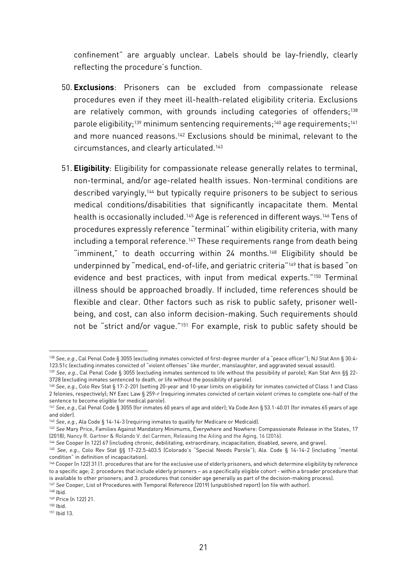confinement" are arguably unclear. Labels should be lay-friendly, clearly reflecting the procedure's function.

- 50. **Exclusions**: Prisoners can be excluded from compassionate release procedures even if they meet ill-health-related eligibility criteria. Exclusions are relatively common, with grounds including categories of offenders;<sup>138</sup> parole eligibility;<sup>139</sup> minimum sentencing requirements;<sup>140</sup> age requirements;<sup>141</sup> and more nuanced reasons.<sup>142</sup> Exclusions should be minimal, relevant to the circumstances, and clearly articulated.<sup>143</sup>
- 51. **Eligibility**: Eligibility for compassionate release generally relates to terminal, non-terminal, and/or age-related health issues. Non-terminal conditions are described varyingly,<sup>144</sup> but typically require prisoners to be subject to serious medical conditions/disabilities that significantly incapacitate them. Mental health is occasionally included.<sup>145</sup> Age is referenced in different ways.<sup>146</sup> Tens of procedures expressly reference "terminal" within eligibility criteria, with many including a temporal reference.<sup>147</sup> These requirements range from death being "imminent," to death occurring within 24 months.<sup>148</sup> Eligibility should be underpinned by "medical, end-of-life, and geriatric criteria"<sup>149</sup> that is based "on evidence and best practices, with input from medical experts."<sup>150</sup> Terminal illness should be approached broadly. If included, time references should be flexible and clear. Other factors such as risk to public safety, prisoner wellbeing, and cost, can also inform decision-making. Such requirements should not be "strict and/or vague."<sup>151</sup> For example, risk to public safety should be

<sup>138</sup> *See*, *e.g.*, Cal Penal Code § 3055 (excluding inmates convicted of first-degree murder of a "peace officer"); NJ Stat Ann § 30:4- 123.51c (excluding inmates convicted of "violent offenses" like murder, manslaughter, and aggravated sexual assault).

<sup>139</sup> *See*, *e.g.*, Cal Penal Code § 3055 (excluding inmates sentenced to life without the possibility of parole); Kan Stat Ann §§ 22- 3728 (excluding inmates sentenced to death, or life without the possibility of parole).

<sup>&</sup>lt;sup>140</sup> See, e.g., Colo Rev Stat § 17-2-201 (setting 20-year and 10-year limits on eligibility for inmates convicted of Class 1 and Class 2 felonies, respectively); NY Exec Law § 259-r (requiring inmates convicted of certain violent crimes to complete one-half of the sentence to become eligible for medical parole).

<sup>141</sup> *See*, *e.g.*, Cal Penal Code § 3055 (for inmates 60 years of age and older); Va Code Ann § 53.1-40.01 (for inmates 65 years of age and older).

<sup>142</sup> *See*, *e.g.*, Ala Code § 14-14-3 (requiring inmates to qualify for Medicare or Medicaid).

<sup>143</sup> *See* Mary Price, Families Against Mandatory Minimums, Everywhere and Nowhere: Compassionate Release in the States, 17 (2018); Nancy R. Gartner & Rolando V. del Carmen, Releasing the Ailing and the Aging, 16 (2016).

<sup>144</sup> *See* Cooper (n 122) 67 (including chronic, debilitating, extraordinary, incapacitation, disabled, severe, and grave).

<sup>145</sup> *See*, *e.g.*, Colo Rev Stat §§ 17-22.5-403.5 (Colorado's "Special Needs Parole"); Ala. Code § 14-14-2 (including "mental condition" in definition of incapacitation).

<sup>146</sup> Cooper (n 122) 31 (1. procedures that are for the exclusive use of elderly prisoners, and which determine eligibility by reference to a specific age; 2. procedures that include elderly prisoners – as a specifically eligible cohort - within a broader procedure that is available to other prisoners; and 3. procedures that consider age generally as part of the decision-making process). <sup>147</sup> *See* Cooper, List of Procedures with Temporal Reference (2019) (unpublished report) (on file with author).

<sup>148</sup> Ibid.

<sup>149</sup> Price (n 122) 21.

<sup>150</sup> Ibid.

<sup>151</sup> Ibid 13.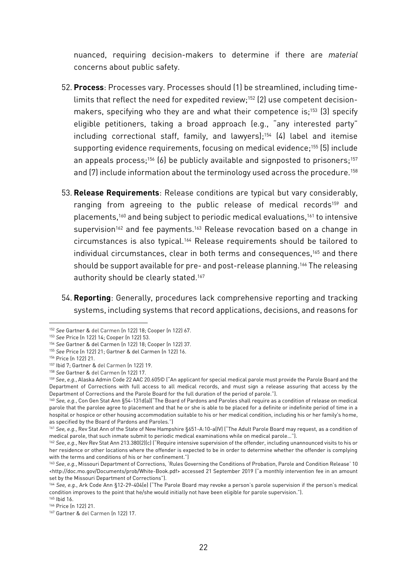nuanced, requiring decision-makers to determine if there are *material* concerns about public safety.

- 52. **Process**: Processes vary. Processes should (1) be streamlined, including timelimits that reflect the need for expedited review;<sup>152</sup> (2) use competent decisionmakers, specifying who they are and what their competence is;<sup>153</sup> (3) specify eligible petitioners, taking a broad approach (e.g., "any interested party" including correctional staff, family, and lawyers);<sup>154</sup> (4) label and itemise supporting evidence requirements, focusing on medical evidence;<sup>155</sup> (5) include an appeals process;<sup>156</sup> (6) be publicly available and signposted to prisoners;<sup>157</sup> and (7) include information about the terminology used across the procedure.<sup>158</sup>
- 53. **Release Requirements**: Release conditions are typical but vary considerably, ranging from agreeing to the public release of medical records<sup>159</sup> and placements,<sup>160</sup> and being subject to periodic medical evaluations,<sup>161</sup> to intensive supervision<sup>162</sup> and fee payments.<sup>163</sup> Release revocation based on a change in circumstances is also typical.<sup>164</sup> Release requirements should be tailored to individual circumstances, clear in both terms and consequences,<sup>165</sup> and there should be support available for pre- and post-release planning.<sup>166</sup> The releasing authority should be clearly stated.<sup>167</sup>
- 54. **Reporting**: Generally, procedures lack comprehensive reporting and tracking systems, including systems that record applications, decisions, and reasons for

<sup>152</sup> *See* Gartner & del Carmen (n 122) 18; Cooper (n 122) 67.

<sup>153</sup> *See* Price (n 122) 14; Cooper (n 122) 53.

<sup>154</sup> *See* Gartner & del Carmen (n 122) 18; Cooper (n 122) 37.

<sup>155</sup> *See* Price (n 122) 21; Gartner & del Carmen (n 122) 16.

<sup>156</sup> Price (n 122) 21.

<sup>157</sup> Ibid 7; Gartner & del Carmen (n 122) 19.

<sup>158</sup> *See* Gartner & del Carmen (n 122) 17.

<sup>159</sup> *See*, *e.g.*, Alaska Admin Code 22 AAC 20.605© ("An applicant for special medical parole must provide the Parole Board and the Department of Corrections with full access to all medical records, and must sign a release assuring that access by the Department of Corrections and the Parole Board for the full duration of the period of parole.").

<sup>&</sup>lt;sup>160</sup> See, e.g., Con Gen Stat Ann §54-131d(a)("The Board of Pardons and Paroles shall require as a condition of release on medical parole that the parolee agree to placement and that he or she is able to be placed for a definite or indefinite period of time in a hospital or hospice or other housing accommodation suitable to his or her medical condition, including his or her family's home, as specified by the Board of Pardons and Paroles.")

<sup>&</sup>lt;sup>161</sup> See, e.g., Rev Stat Ann of the State of New Hampshire §651-A:10-a(IV) ("The Adult Parole Board may request, as a condition of medical parole, that such inmate submit to periodic medical examinations while on medical parole…").

<sup>162</sup> *See*, *e.g.*, Nev Rev Stat Ann 213.380(2)(c) ("Require intensive supervision of the offender, including unannounced visits to his or her residence or other locations where the offender is expected to be in order to determine whether the offender is complying with the terms and conditions of his or her confinement.")

<sup>163</sup> *See*, *e.g.*, Missouri Department of Corrections, 'Rules Governing the Conditions of Probation, Parole and Condition Release' 10 <http://doc.mo.gov/Documents/prob/White-Book.pdf> accessed 21 September 2019 ("a monthly intervention fee in an amount set by the Missouri Department of Corrections").

<sup>164</sup> *See, e.g.*, Ark Code Ann §12-29-404(e) ("The Parole Board may revoke a person's parole supervision if the person's medical condition improves to the point that he/she would initially not have been eligible for parole supervision.").

<sup>165</sup> Ibid 16.

<sup>166</sup> Price (n 122) 21.

<sup>167</sup> Gartner & del Carmen (n 122) 17.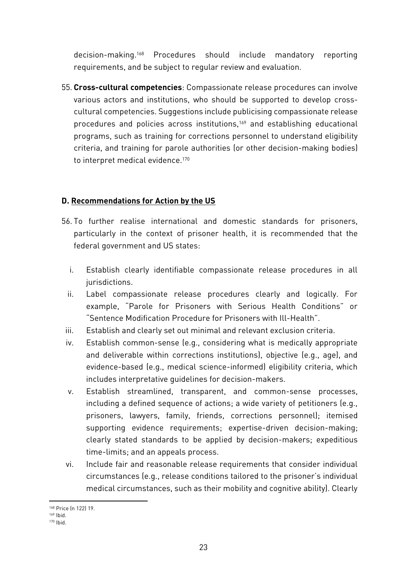decision-making.<sup>168</sup> Procedures should include mandatory reporting requirements, and be subject to regular review and evaluation.

55. **Cross-cultural competencies**: Compassionate release procedures can involve various actors and institutions, who should be supported to develop crosscultural competencies. Suggestions include publicising compassionate release procedures and policies across institutions,<sup>169</sup> and establishing educational programs, such as training for corrections personnel to understand eligibility criteria, and training for parole authorities (or other decision-making bodies) to interpret medical evidence. 170

#### **D. Recommendations for Action by the US**

- 56. To further realise international and domestic standards for prisoners, particularly in the context of prisoner health, it is recommended that the federal government and US states:
	- i. Establish clearly identifiable compassionate release procedures in all jurisdictions.
	- ii. Label compassionate release procedures clearly and logically. For example, "Parole for Prisoners with Serious Health Conditions" or "Sentence Modification Procedure for Prisoners with Ill-Health".
- iii. Establish and clearly set out minimal and relevant exclusion criteria.
- iv. Establish common-sense (e.g., considering what is medically appropriate and deliverable within corrections institutions), objective (e.g., age), and evidence-based (e.g., medical science-informed) eligibility criteria, which includes interpretative guidelines for decision-makers.
- v. Establish streamlined, transparent, and common-sense processes, including a defined sequence of actions; a wide variety of petitioners (e.g., prisoners, lawyers, family, friends, corrections personnel); itemised supporting evidence requirements; expertise-driven decision-making; clearly stated standards to be applied by decision-makers; expeditious time-limits; and an appeals process.
- vi. Include fair and reasonable release requirements that consider individual circumstances (e.g., release conditions tailored to the prisoner's individual medical circumstances, such as their mobility and cognitive ability). Clearly

**<sup>.</sup>** <sup>168</sup> Price (n 122) 19.

<sup>169</sup> Ibid.

<sup>170</sup> Ibid.